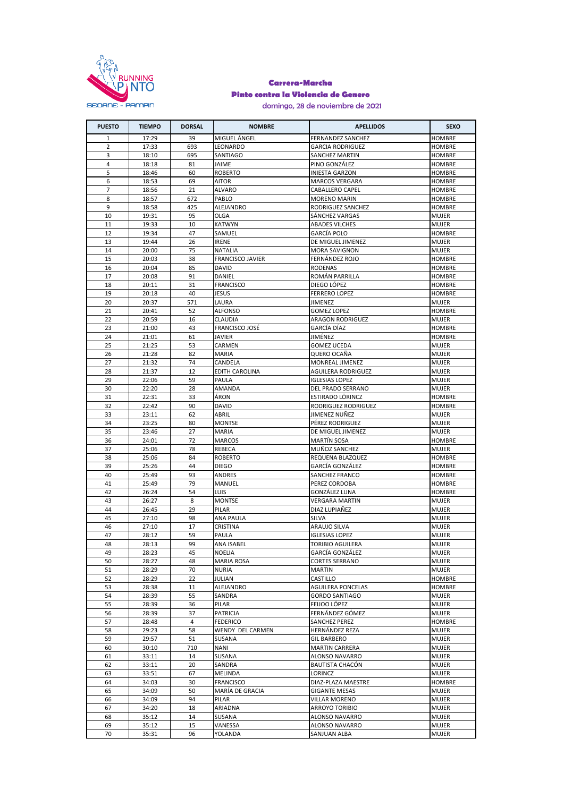

## **Carrera-Marcha Pinto contra la Violencia de Genero**

domingo, 28 de noviembre de 2021

| <b>PUESTO</b>  | <b>TIEMPO</b> | <b>DORSAL</b> | <b>NOMBRE</b>           | <b>APELLIDOS</b>          | <b>SEXO</b>   |
|----------------|---------------|---------------|-------------------------|---------------------------|---------------|
| 1              | 17:29         | 39            | MIGUEL ÁNGEL            | <b>FERNANDEZ SANCHEZ</b>  | <b>HOMBRE</b> |
| 2              | 17:33         | 693           | LEONARDO                | <b>GARCIA RODRIGUEZ</b>   | <b>HOMBRE</b> |
| 3              | 18:10         | 695           | SANTIAGO                | <b>SANCHEZ MARTIN</b>     | <b>HOMBRE</b> |
| $\overline{4}$ | 18:18         | 81            | <b>JAIME</b>            | PINO GONZÁLEZ             | <b>HOMBRE</b> |
| 5              | 18:46         | 60            | <b>ROBERTO</b>          | <b>INIESTA GARZON</b>     | <b>HOMBRE</b> |
| 6              | 18:53         | 69            | AITOR                   | <b>MARCOS VERGARA</b>     | <b>HOMBRE</b> |
| $\overline{7}$ | 18:56         | 21            | ALVARO                  | CABALLERO CAPEL           | <b>HOMBRE</b> |
| 8              | 18:57         | 672           | PABLO                   | <b>MORENO MARIN</b>       | <b>HOMBRE</b> |
| 9              | 18:58         | 425           | ALEJANDRO               | RODRIGUEZ SANCHEZ         | <b>HOMBRE</b> |
| 10             | 19:31         | 95            | <b>OLGA</b>             | SÁNCHEZ VARGAS            | <b>MUJER</b>  |
| 11             | 19:33         | 10            | <b>KATWYN</b>           | <b>ABADES VILCHES</b>     | <b>MUJER</b>  |
| 12             | 19:34         | 47            | SAMUEL                  | GARCÍA POLO               | <b>HOMBRE</b> |
| 13             | 19:44         | 26            | <b>IRENE</b>            | DE MIGUEL JIMENEZ         | MUJER         |
| 14             | 20:00         | 75            | <b>NATALIA</b>          | <b>MORA SAVIGNON</b>      | <b>MUJER</b>  |
| 15             | 20:03         | 38            | <b>FRANCISCO JAVIER</b> | FERNÁNDEZ ROJO            | HOMBRE        |
| 16             | 20:04         | 85            | <b>DAVID</b>            | <b>RODENAS</b>            | <b>HOMBRE</b> |
| 17             | 20:08         | 91            | DANIEL                  | ROMAN PARRILLA            | HOMBRE        |
| 18             | 20:11         | 31            | <b>FRANCISCO</b>        | DIEGO LOPEZ               | <b>HOMBRE</b> |
| 19             | 20:18         | 40            | <b>JESUS</b>            | <b>FERRERO LOPEZ</b>      | <b>HOMBRE</b> |
| 20             | 20:37         | 571           | LAURA                   | JIMENEZ                   | <b>MUJER</b>  |
| 21             | 20:41         | 52            | <b>ALFONSO</b>          | <b>GOMEZ LOPEZ</b>        | <b>HOMBRE</b> |
| 22             | 20:59         | 16            | <b>CLAUDIA</b>          | <b>ARAGON RODRIGUEZ</b>   | <b>MUJER</b>  |
|                |               |               | <b>FRANCISCO JOSÉ</b>   |                           | <b>HOMBRE</b> |
| 23             | 21:00         | 43            |                         | GARCÍA DÍAZ               |               |
| 24             | 21:01         | 61            | <b>JAVIER</b>           | JIMÉNEZ                   | <b>HOMBRE</b> |
| 25             | 21:25         | 53            | CARMEN                  | <b>GOMEZ UCEDA</b>        | <b>MUJER</b>  |
| 26             | 21:28         | 82            | <b>MARIA</b>            | QUERO OCAÑA               | <b>MUJER</b>  |
| 27             | 21:32         | 74            | CANDELA                 | MONREAL JIMENEZ           | <b>MUJER</b>  |
| 28             | 21:37         | 12            | <b>EDITH CAROLINA</b>   | <b>AGUILERA RODRIGUEZ</b> | <b>MUJER</b>  |
| 29             | 22:06         | 59            | PAULA                   | <b>IGLESIAS LOPEZ</b>     | <b>MUJER</b>  |
| 30             | 22:20         | 28            | AMANDA                  | DEL PRADO SERRANO         | MUJER         |
| 31             | 22:31         | 33            | ÁRON                    | ESTIRADO LÖRINCZ          | <b>HOMBRE</b> |
| 32             | 22:42         | 90            | DAVID                   | RODRIGUEZ RODRIGUEZ       | <b>HOMBRE</b> |
| 33             | 23:11         | 62            | ABRIL                   | JIMENEZ NUÑEZ             | <b>MUJER</b>  |
| 34             | 23:25         | 80            | <b>MONTSE</b>           | PÉREZ RODRIGUEZ           | <b>MUJER</b>  |
| 35             | 23:46         | 27            | <b>MARIA</b>            | DE MIGUEL JIMENEZ         | <b>MUJER</b>  |
| 36             | 24:01         | 72            | <b>MARCOS</b>           | MARTÍN SOSA               | HOMBRE        |
| 37             | 25:06         | 78            | REBECA                  | MUÑOZ SANCHEZ             | <b>MUJER</b>  |
| 38             | 25:06         | 84            | <b>ROBERTO</b>          | REQUENA BLAZQUEZ          | <b>HOMBRE</b> |
| 39             | 25:26         | 44            | <b>DIEGO</b>            | GARCÍA GONZÁLEZ           | <b>HOMBRE</b> |
| 40             | 25:49         | 93            | ANDRES                  | SANCHEZ FRANCO            | HOMBRE        |
| 41             | 25:49         | 79            | MANUEL                  | PEREZ CORDOBA             | <b>HOMBRE</b> |
| 42             | 26:24         | 54            | LUIS                    | GONZÁLEZ LUNA             | HOMBRE        |
| 43             | 26:27         | 8             | <b>MONTSE</b>           | <b>VERGARA MARTIN</b>     | <b>MUJER</b>  |
| 44             | 26:45         | 29            | PILAR                   | DIAZ LUPIAÑEZ             | <b>MUJER</b>  |
| 45             | 27:10         | 98            | <b>ANA PAULA</b>        | SILVA                     | <b>MUJER</b>  |
| 46             | 27:10         | 17            | CRISTINA                | ARAUJO SILVA              | <b>MUJER</b>  |
| 47             | 28:12         | 59            | PAULA                   | <b>IGLESIAS LOPEZ</b>     | <b>MUJER</b>  |
| 48             | 28:13         | 99            | ANA ISABEL              | <b>TORIBIO AGUILERA</b>   | <b>MUJER</b>  |
| 49             | 28:23         | 45            | NOELIA                  | GARCÍA GONZÁLEZ           | <b>MUJER</b>  |
| 50             | 28:27         | 48            | <b>MARIA ROSA</b>       | <b>CORTES SERRANO</b>     | <b>MUJER</b>  |
| 51             | 28:29         | 70            | <b>NURIA</b>            | MARTIN                    | <b>MUJER</b>  |
| 52             | 28:29         | 22            | JULIAN                  | CASTILLO                  | <b>HOMBRE</b> |
| 53             | 28:38         | 11            | ALEJANDRO               | <b>AGUILERA PONCELAS</b>  | <b>HOMBRE</b> |
| 54             | 28:39         | 55            | SANDRA                  | <b>GORDO SANTIAGO</b>     | <b>MUJER</b>  |
| 55             | 28:39         | 36            | PILAR                   | FEIJOO LÓPEZ              | <b>MUJER</b>  |
| 56             | 28:39         | 37            | PATRICIA                | FERNÁNDEZ GÓMEZ           | <b>MUJER</b>  |
| 57             | 28:48         | 4             | <b>FEDERICO</b>         | SANCHEZ PEREZ             | <b>HOMBRE</b> |
| 58             | 29:23         | 58            | WENDY DEL CARMEN        | HERNÁNDEZ REZA            | <b>MUJER</b>  |
| 59             | 29:57         | 51            | SUSANA                  | <b>GIL BARBERO</b>        | <b>MUJER</b>  |
| 60             | 30:10         | 710           | NANI                    | <b>MARTIN CARRERA</b>     | <b>MUJER</b>  |
| 61             | 33:11         | 14            | SUSANA                  | ALONSO NAVARRO            | <b>MUJER</b>  |
| 62             | 33:11         | 20            | SANDRA                  | BAUTISTA CHACÓN           | <b>MUJER</b>  |
| 63             | 33:51         | 67            | MELINDA                 | LORINCZ                   | MUJER         |
| 64             | 34:03         | 30            | <b>FRANCISCO</b>        | DIAZ-PLAZA MAESTRE        | <b>HOMBRE</b> |
| 65             | 34:09         | 50            | MARÍA DE GRACIA         | GIGANTE MESAS             | <b>MUJER</b>  |
| 66             | 34:09         | 94            | PILAR                   | VILLAR MORENO             | MUJER         |
| 67             | 34:20         | 18            | ARIADNA                 | ARROYO TORIBIO            | <b>MUJER</b>  |
| 68             | 35:12         | 14            | SUSANA                  | ALONSO NAVARRO            | <b>MUJER</b>  |
| 69             | 35:12         | 15            | VANESSA                 | ALONSO NAVARRO            | <b>MUJER</b>  |
|                |               |               |                         |                           |               |
| 70             | 35:31         | 96            | YOLANDA                 | SANJUAN ALBA              | <b>MUJER</b>  |